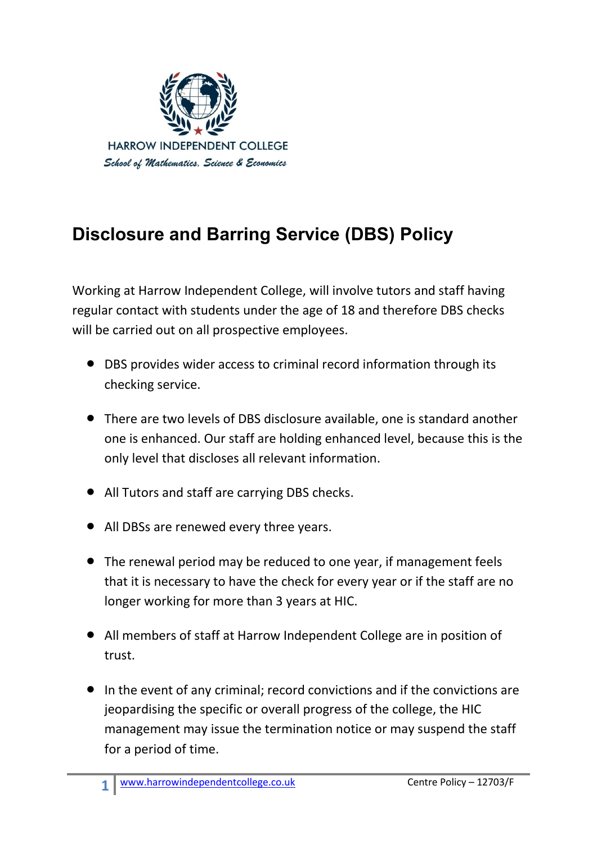

## **Disclosure and Barring Service (DBS) Policy**

Working at Harrow Independent College, will involve tutors and staff having regular contact with students under the age of 18 and therefore DBS checks will be carried out on all prospective employees.

- DBS provides wider access to criminal record information through its checking service.
- There are two levels of DBS disclosure available, one is standard another one is enhanced. Our staff are holding enhanced level, because this is the only level that discloses all relevant information.
- All Tutors and staff are carrying DBS checks.
- All DBSs are renewed every three years.
- The renewal period may be reduced to one year, if management feels that it is necessary to have the check for every year or if the staff are no longer working for more than 3 years at HIC.
- All members of staff at Harrow Independent College are in position of trust.
- In the event of any criminal; record convictions and if the convictions are jeopardising the specific or overall progress of the college, the HIC management may issue the termination notice or may suspend the staff for a period of time.